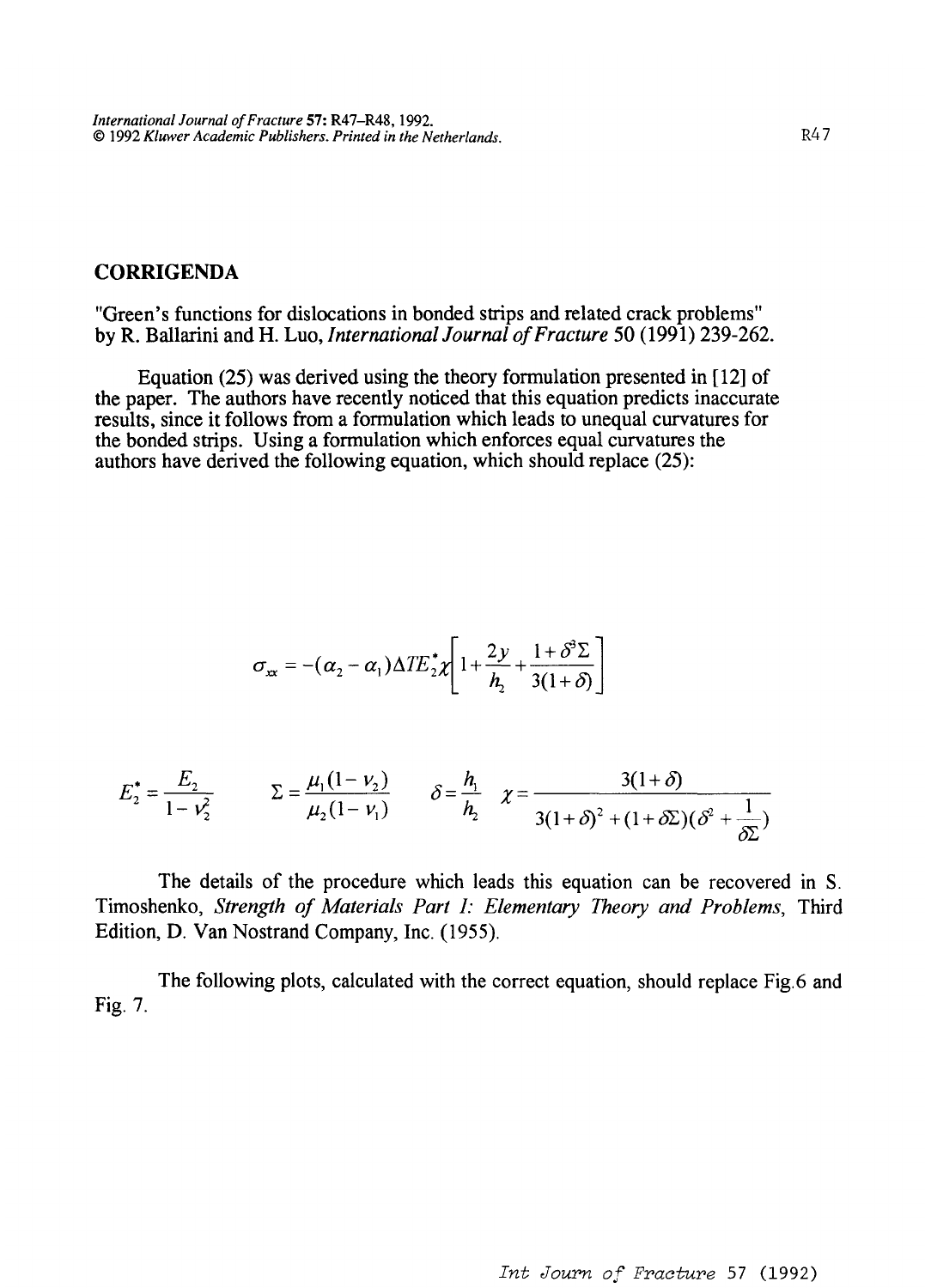## **CORRIGENDA**

"Green's functions for dislocations in bonded strips and related crack problems" by R. Ballarini and H. Luo, *International Journal of Fracture* 50 (1991) 239-262.

Equation (25) was derived using the theory formulation presented in [12] of the paper. The authors have recently noticed that this equation predicts inaccurate results, since it follows from a formulation which leads to unequal curvatures for the bonded strips. Using a formulation which enforces equal curvatures the authors have derived the following equation, which should replace (25):

$$
\sigma_{xx} = -(\alpha_2 - \alpha_1) \Delta T E_z^* \chi \left[ 1 + \frac{2y}{h_2} + \frac{1 + \delta^3 \Sigma}{3(1 + \delta)} \right]
$$

$$
E_2^* = \frac{E_2}{1 - v_2^2} \qquad \Sigma = \frac{\mu_1 (1 - v_2)}{\mu_2 (1 - v_1)} \qquad \delta = \frac{h_1}{h_2} \quad \chi = \frac{3(1 + \delta)}{3(1 + \delta)^2 + (1 + \delta \Sigma)(\delta^2 + \frac{1}{\delta \Sigma})}
$$

The details of the procedure which leads this equation can be recovered in S. Timoshenko, *Strength of Materials Part 1: Elementary Theory and Problems,* Third Edition, D. Van Nostrand Company, Inc. (1955).

The following plots, calculated with the correct equation, should replace Fig.6 and Fig. 7.